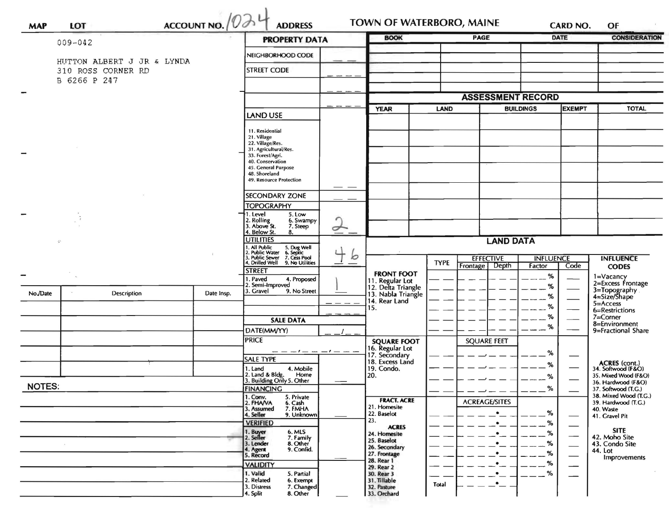|               |                                    | $\frac{\text{ACCOUNT NO.}}{\text{OO}}$ |            | <b>ADDRESS</b><br><b>PROPERTY DATA</b>                                                           |                                     | <b>BOOK</b>                                                 | PAGE        |                              | CARD NO.<br><b>DATE</b> |                            | <b>CONSIDERATION</b> |                                              |
|---------------|------------------------------------|----------------------------------------|------------|--------------------------------------------------------------------------------------------------|-------------------------------------|-------------------------------------------------------------|-------------|------------------------------|-------------------------|----------------------------|----------------------|----------------------------------------------|
|               | $009 - 042$                        |                                        |            |                                                                                                  |                                     |                                                             |             |                              |                         |                            |                      |                                              |
|               | HUTTON ALBERT J JR & LYNDA         |                                        |            | NEIGHBORHOOD CODE                                                                                |                                     |                                                             |             |                              |                         |                            |                      |                                              |
|               | 310 ROSS CORNER RD<br>B 6266 P 247 |                                        |            | <b>STREET CODE</b>                                                                               |                                     |                                                             |             |                              |                         |                            |                      |                                              |
|               |                                    |                                        |            |                                                                                                  |                                     |                                                             |             |                              |                         |                            |                      |                                              |
|               |                                    |                                        |            |                                                                                                  |                                     |                                                             |             | <b>ASSESSMENT RECORD</b>     |                         |                            |                      |                                              |
|               |                                    |                                        |            | <b>LAND USE</b>                                                                                  |                                     | <b>YEAR</b>                                                 | <b>LAND</b> |                              | <b>BUILDINGS</b>        |                            | <b>EXEMPT</b>        | <b>TOTAL</b>                                 |
|               |                                    |                                        |            |                                                                                                  |                                     |                                                             |             |                              |                         |                            |                      |                                              |
|               |                                    |                                        |            | 11. Residential<br>21. Village                                                                   |                                     |                                                             |             |                              |                         |                            |                      |                                              |
|               |                                    |                                        |            | 22. Village/Res.<br>31. Agricultural/Res.                                                        |                                     |                                                             |             |                              |                         |                            |                      |                                              |
|               |                                    |                                        |            | 33. Forest/Agri.<br>40. Conservation                                                             |                                     |                                                             |             |                              |                         |                            |                      |                                              |
|               |                                    |                                        |            | 45. General Purpose                                                                              |                                     |                                                             |             |                              |                         |                            |                      |                                              |
|               |                                    |                                        |            | 48. Shoreland<br>49. Resource Protection                                                         |                                     |                                                             |             |                              |                         |                            |                      |                                              |
|               |                                    |                                        |            |                                                                                                  |                                     |                                                             |             |                              |                         |                            |                      |                                              |
|               |                                    |                                        |            | <b>SECONDARY ZONE</b>                                                                            |                                     |                                                             |             |                              |                         |                            |                      |                                              |
|               |                                    |                                        |            | <b>TOPOGRAPHY</b><br>†1. Level                                                                   |                                     |                                                             |             |                              |                         |                            |                      |                                              |
|               |                                    |                                        |            | 5. Low<br>2. Rolling<br>6. Swampy                                                                |                                     |                                                             |             |                              |                         |                            |                      |                                              |
|               |                                    |                                        |            | 3. Above St.<br>7. Steep<br>4. Below St.<br>8.                                                   | ー                                   |                                                             |             |                              |                         |                            |                      |                                              |
|               | ÷,                                 |                                        |            | <b>UTILITIES</b>                                                                                 |                                     |                                                             |             |                              | <b>LAND DATA</b>        |                            |                      |                                              |
|               |                                    |                                        |            | 2. Public 5. Dug Well<br>2. Public Water 6. Septic<br>3. Drilled Well 9. No 1988<br>TD From 1988 |                                     |                                                             |             |                              |                         |                            |                      |                                              |
|               |                                    |                                        |            |                                                                                                  | $\circ$<br>$\overline{\phantom{m}}$ |                                                             | <b>TYPE</b> | <b>EFFECTIVE</b><br>Frontage | Depth                   | <b>INFLUENCE</b><br>Factor | Code                 | <b>INFLUENCE</b><br><b>CODES</b>             |
|               |                                    |                                        |            | <b>STREET</b>                                                                                    |                                     | <b>FRONT FOOT</b>                                           |             |                              |                         | $\%$                       |                      |                                              |
|               |                                    |                                        |            | 1. Paved<br>4. Proposed<br>2. Semi-Improved                                                      |                                     |                                                             |             |                              |                         | %                          |                      | 1=Vacancy<br>2=Excess Frontage               |
| No./Date      | Description                        |                                        | Date Insp. | 3. Gravel<br>9. No Street                                                                        |                                     | 11. Regular Lot<br>12. Delta Triangle<br>13. Nabla Triangle |             |                              |                         | %                          |                      | 3=Topography<br>4=Size/Shape                 |
|               |                                    |                                        |            |                                                                                                  |                                     | 14. Rear Land<br>15.                                        |             |                              |                         | %                          |                      | $5 =$ Access                                 |
|               |                                    |                                        |            |                                                                                                  |                                     |                                                             |             |                              |                         | %                          |                      | 6=Restrictions<br>$7 =$ Corner               |
|               |                                    |                                        |            | <b>SALE DATA</b>                                                                                 |                                     |                                                             |             |                              |                         | %                          |                      | 8=Environment                                |
|               |                                    |                                        |            | DATE(MM/YY)<br><b>PRICE</b>                                                                      |                                     |                                                             |             |                              |                         |                            |                      | 9=Fractional Share                           |
|               |                                    |                                        |            |                                                                                                  |                                     | <b>SQUARE FOOT</b><br>16. Regular Lot                       |             | <b>SQUARE FEET</b>           |                         |                            |                      |                                              |
|               |                                    |                                        |            | $-1-$<br><b>SALE TYPE</b>                                                                        |                                     | 17. Secondary                                               |             |                              |                         | %                          |                      |                                              |
|               |                                    |                                        |            | 4. Mobile<br>1. Land                                                                             |                                     | 18. Excess Land<br>19. Condo.                               |             |                              |                         | %                          |                      | ACRES (cont.)<br>34. Softwood (F&O)          |
|               |                                    |                                        |            | 2. Land & Bldg. Home<br>3. Building Only 5. Other<br>Home                                        |                                     | 20.                                                         |             |                              |                         | %                          |                      | 35. Mixed Wood (F&O)<br>36. Hardwood (F&O)   |
| <b>NOTES:</b> |                                    |                                        |            | <b>FINANCING</b>                                                                                 |                                     |                                                             |             |                              |                         | %<br>$  -$                 |                      | 37. Softwood (T.G.)                          |
|               |                                    |                                        |            | 1. Conv.<br>5. Private<br>2. FHANA<br>6. Cash                                                    |                                     | <b>FRACT. ACRE</b>                                          |             | <b>ACREAGE/SITES</b>         |                         |                            |                      | 38. Mixed Wood (T.G.)<br>39. Hardwood (T.G.) |
|               |                                    |                                        |            | 3. Assumed<br>7. FMHA                                                                            |                                     | 21. Homesite<br>22. Baselot                                 |             |                              | $\bullet$               | %                          |                      | 40. Waste                                    |
|               |                                    |                                        |            | 4. Seller<br>9. Unknown<br><b>VERIFIED</b>                                                       |                                     | 23.                                                         |             |                              | $\bullet$               | %                          |                      | 41. Gravel Pit                               |
|               |                                    |                                        |            | 1. Buyer<br>2. Seller<br>6. MLS                                                                  |                                     | <b>ACRES</b><br>24. Homesite                                |             |                              |                         | %                          |                      | <b>SITE</b>                                  |
|               |                                    |                                        |            | 7. Family<br>8. Other<br>3. Lender                                                               |                                     | 25. Baselot                                                 |             |                              |                         | %                          |                      | 42. Moho Site<br>43. Condo Site              |
|               |                                    |                                        |            | 9. Confid.<br>4. Agent<br>5. Record                                                              |                                     | 26. Secondary<br>27. Frontage                               |             |                              |                         | %                          |                      | 44. Lot                                      |
|               |                                    |                                        |            | <b>VALIDITY</b>                                                                                  |                                     | 28. Rear 1                                                  |             |                              |                         | %                          |                      | Improvements                                 |
|               |                                    |                                        |            | 1. Valid<br>5. Partial                                                                           |                                     | 29. Rear 2<br>30. Rear 3                                    |             |                              |                         | %                          |                      |                                              |
|               |                                    |                                        |            | 2. Related<br>6. Exempt                                                                          |                                     | 31. Tillable                                                | Total       |                              |                         |                            |                      |                                              |
|               |                                    |                                        |            | 7. Changed<br>3. Distress<br>4. Split<br>8. Other                                                |                                     | 32. Pasture<br>33. Orchard                                  |             |                              |                         |                            |                      |                                              |